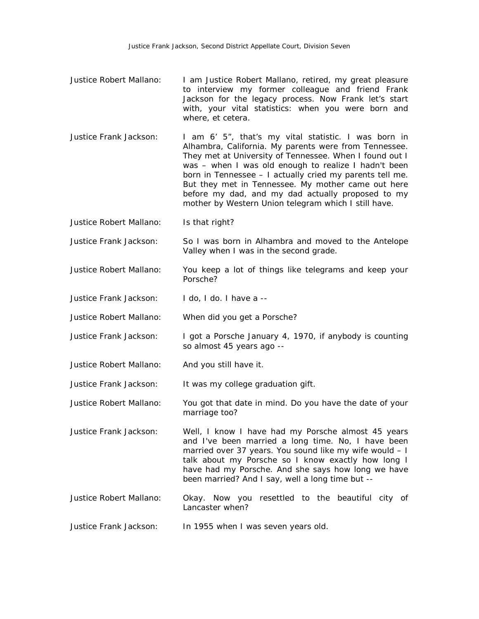- Justice Robert Mallano: I am Justice Robert Mallano, retired, my great pleasure to interview my former colleague and friend Frank Jackson for the legacy process. Now Frank let's start with, your vital statistics: when you were born and where, et cetera.
- Justice Frank Jackson: I am 6' 5", that's my vital statistic. I was born in Alhambra, California. My parents were from Tennessee. They met at University of Tennessee. When I found out I was – when I was old enough to realize I hadn't been born in Tennessee – I actually cried my parents tell me. But they met in Tennessee. My mother came out here before my dad, and my dad actually proposed to my mother by Western Union telegram which I still have.

Justice Robert Mallano: Is that right?

- Justice Frank Jackson: So I was born in Alhambra and moved to the Antelope Valley when I was in the second grade.
- Justice Robert Mallano: You keep a lot of things like telegrams and keep your Porsche?
- Justice Frank Jackson: I do, I do. I have a --
- Justice Robert Mallano: When did you get a Porsche?
- Justice Frank Jackson: I got a Porsche January 4, 1970, if anybody is counting so almost 45 years ago --
- Justice Robert Mallano: And you still have it.
- Justice Frank Jackson: It was my college graduation gift.
- Justice Robert Mallano: You got that date in mind. Do you have the date of your marriage too?
- Justice Frank Jackson: Well, I know I have had my Porsche almost 45 years and I've been married a long time. No, I have been married over 37 years. You sound like my wife would – I talk about my Porsche so I know exactly how long I have had my Porsche. And she says how long we have been married? And I say, well a long time but --
- Justice Robert Mallano: Okay. Now you resettled to the beautiful city of Lancaster when?
- Justice Frank Jackson: In 1955 when I was seven years old.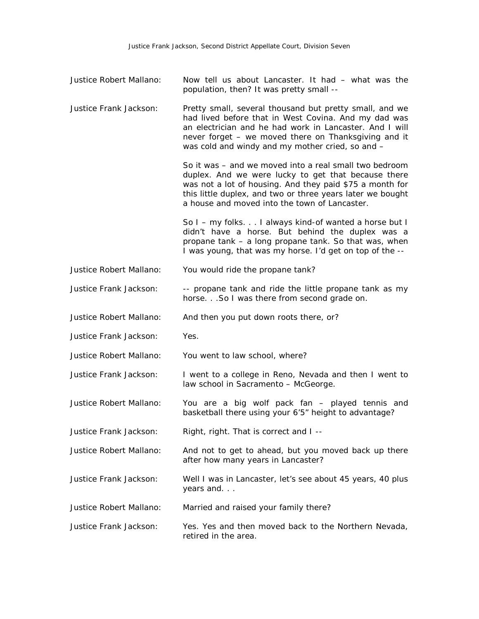| Justice Robert Mallano: | Now tell us about Lancaster. It had - what was the<br>population, then? It was pretty small --                                                                                                                                                                                           |
|-------------------------|------------------------------------------------------------------------------------------------------------------------------------------------------------------------------------------------------------------------------------------------------------------------------------------|
| Justice Frank Jackson:  | Pretty small, several thousand but pretty small, and we<br>had lived before that in West Covina. And my dad was<br>an electrician and he had work in Lancaster. And I will<br>never forget – we moved there on Thanksgiving and it<br>was cold and windy and my mother cried, so and -   |
|                         | So it was – and we moved into a real small two bedroom<br>duplex. And we were lucky to get that because there<br>was not a lot of housing. And they paid \$75 a month for<br>this little duplex, and two or three years later we bought<br>a house and moved into the town of Lancaster. |
|                         | So I – my folks. I always kind-of wanted a horse but I<br>didn't have a horse. But behind the duplex was a<br>propane tank - a long propane tank. So that was, when<br>I was young, that was my horse. I'd get on top of the --                                                          |
| Justice Robert Mallano: | You would ride the propane tank?                                                                                                                                                                                                                                                         |
| Justice Frank Jackson:  | -- propane tank and ride the little propane tank as my<br>horse. So I was there from second grade on.                                                                                                                                                                                    |
| Justice Robert Mallano: | And then you put down roots there, or?                                                                                                                                                                                                                                                   |
| Justice Frank Jackson:  | Yes.                                                                                                                                                                                                                                                                                     |
| Justice Robert Mallano: | You went to law school, where?                                                                                                                                                                                                                                                           |
| Justice Frank Jackson:  | I went to a college in Reno, Nevada and then I went to<br>law school in Sacramento - McGeorge.                                                                                                                                                                                           |
| Justice Robert Mallano: | You are a big wolf pack fan - played tennis and<br>basketball there using your 6'5" height to advantage?                                                                                                                                                                                 |
| Justice Frank Jackson:  | Right, right. That is correct and I --                                                                                                                                                                                                                                                   |
| Justice Robert Mallano: | And not to get to ahead, but you moved back up there<br>after how many years in Lancaster?                                                                                                                                                                                               |
| Justice Frank Jackson:  | Well I was in Lancaster, let's see about 45 years, 40 plus<br>years and                                                                                                                                                                                                                  |
| Justice Robert Mallano: | Married and raised your family there?                                                                                                                                                                                                                                                    |
| Justice Frank Jackson:  | Yes. Yes and then moved back to the Northern Nevada,<br>retired in the area.                                                                                                                                                                                                             |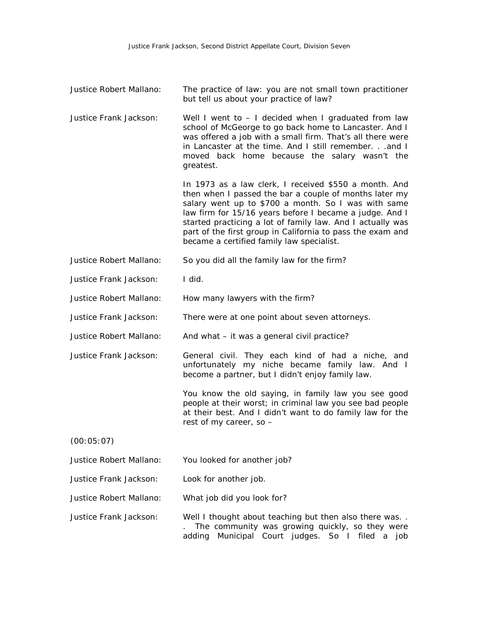| Justice Robert Mallano: | The practice of law: you are not small town practitioner<br>but tell us about your practice of law?                                                                                                                                                                                                                                                                                                        |
|-------------------------|------------------------------------------------------------------------------------------------------------------------------------------------------------------------------------------------------------------------------------------------------------------------------------------------------------------------------------------------------------------------------------------------------------|
| Justice Frank Jackson:  | Well I went to $-1$ decided when I graduated from law<br>school of McGeorge to go back home to Lancaster. And I<br>was offered a job with a small firm. That's all there were<br>in Lancaster at the time. And I still remember. and I<br>moved back home because the salary wasn't the<br>greatest.                                                                                                       |
|                         | In 1973 as a law clerk, I received \$550 a month. And<br>then when I passed the bar a couple of months later my<br>salary went up to \$700 a month. So I was with same<br>law firm for 15/16 years before I became a judge. And I<br>started practicing a lot of family law. And I actually was<br>part of the first group in California to pass the exam and<br>became a certified family law specialist. |
| Justice Robert Mallano: | So you did all the family law for the firm?                                                                                                                                                                                                                                                                                                                                                                |
| Justice Frank Jackson:  | I did.                                                                                                                                                                                                                                                                                                                                                                                                     |
| Justice Robert Mallano: | How many lawyers with the firm?                                                                                                                                                                                                                                                                                                                                                                            |
| Justice Frank Jackson:  | There were at one point about seven attorneys.                                                                                                                                                                                                                                                                                                                                                             |
| Justice Robert Mallano: | And what - it was a general civil practice?                                                                                                                                                                                                                                                                                                                                                                |
| Justice Frank Jackson:  | General civil. They each kind of had a niche, and<br>unfortunately my niche became family law. And I<br>become a partner, but I didn't enjoy family law.                                                                                                                                                                                                                                                   |
|                         | You know the old saying, in family law you see good<br>people at their worst; in criminal law you see bad people<br>at their best. And I didn't want to do family law for the<br>rest of my career, so -                                                                                                                                                                                                   |
| (00:05:07)              |                                                                                                                                                                                                                                                                                                                                                                                                            |
| Justice Robert Mallano: | You looked for another job?                                                                                                                                                                                                                                                                                                                                                                                |
| Justice Frank Jackson:  | Look for another job.                                                                                                                                                                                                                                                                                                                                                                                      |
| Justice Robert Mallano: | What job did you look for?                                                                                                                                                                                                                                                                                                                                                                                 |
| Justice Frank Jackson:  | Well I thought about teaching but then also there was<br>The community was growing quickly, so they were                                                                                                                                                                                                                                                                                                   |

adding Municipal Court judges. So I filed a job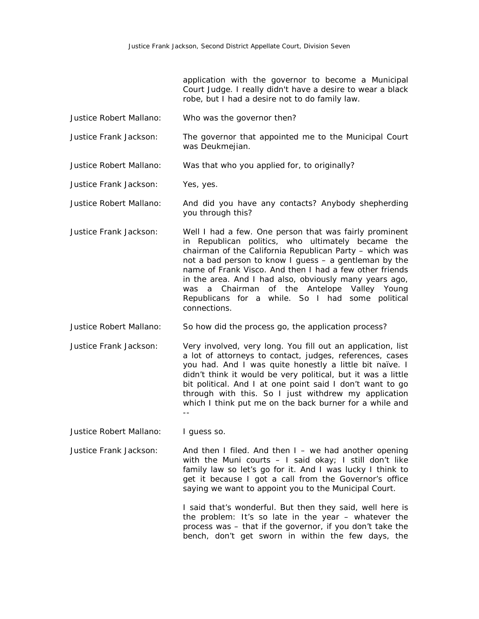application with the governor to become a Municipal Court Judge. I really didn't have a desire to wear a black robe, but I had a desire not to do family law.

Justice Robert Mallano: Who was the governor then?

Justice Frank Jackson: The governor that appointed me to the Municipal Court was Deukmejian.

Justice Robert Mallano: Was that who you applied for, to originally?

Justice Frank Jackson: Yes, yes.

Justice Robert Mallano: And did you have any contacts? Anybody shepherding you through this?

Justice Frank Jackson: Well I had a few. One person that was fairly prominent in Republican politics, who ultimately became the chairman of the California Republican Party – which was not a bad person to know I guess – a gentleman by the name of Frank Visco. And then I had a few other friends in the area. And I had also, obviously many years ago, was a Chairman of the Antelope Valley Young Republicans for a while. So I had some political connections.

Justice Robert Mallano: So how did the process go, the application process?

Justice Frank Jackson: Very involved, very long. You fill out an application, list a lot of attorneys to contact, judges, references, cases you had. And I was quite honestly a little bit naïve. I didn't think it would be very political, but it was a little bit political. And I at one point said I don't want to go through with this. So I just withdrew my application which I think put me on the back burner for a while and --

Justice Robert Mallano: I guess so.

Justice Frank Jackson: And then I filed. And then I – we had another opening with the Muni courts  $-1$  said okay; I still don't like family law so let's go for it. And I was lucky I think to get it because I got a call from the Governor's office saying we want to appoint you to the Municipal Court.

> I said that's wonderful. But then they said, well here is the problem: It's so late in the year – whatever the process was – that if the governor, if you don't take the bench, don't get sworn in within the few days, the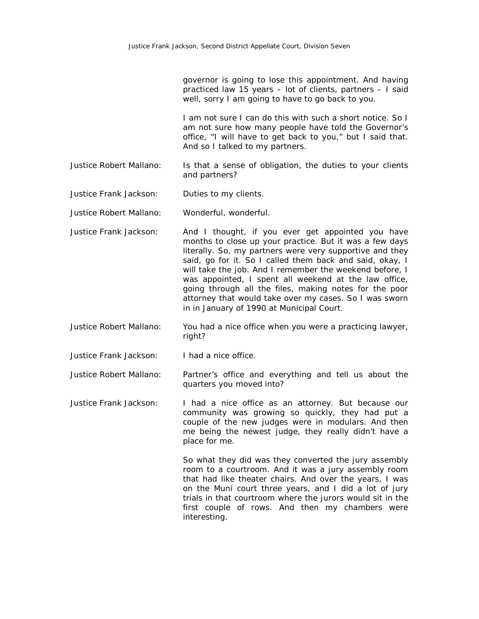governor is going to lose this appointment. And having practiced law 15 years – lot of clients, partners – I said well, sorry I am going to have to go back to you.

I am not sure I can do this with such a short notice. So I am not sure how many people have told the Governor's office, "I will have to get back to you," but I said that. And so I talked to my partners.

Justice Robert Mallano: Is that a sense of obligation, the duties to your clients and partners?

Justice Frank Jackson: Duties to my clients.

Justice Robert Mallano: Wonderful, wonderful.

- Justice Frank Jackson: And I thought, if you ever get appointed you have months to close up your practice. But it was a few days literally. So, my partners were very supportive and they said, go for it. So I called them back and said, okay, I will take the job. And I remember the weekend before, I was appointed, I spent all weekend at the law office, going through all the files, making notes for the poor attorney that would take over my cases. So I was sworn in in January of 1990 at Municipal Court.
- Justice Robert Mallano: You had a nice office when you were a practicing lawyer, right?
- Justice Frank Jackson: I had a nice office.

Justice Robert Mallano: Partner's office and everything and tell us about the quarters you moved into?

Justice Frank Jackson: I had a nice office as an attorney. But because our community was growing so quickly, they had put a couple of the new judges were in modulars. And then me being the newest judge, they really didn't have a place for me.

> So what they did was they converted the jury assembly room to a courtroom. And it was a jury assembly room that had like theater chairs. And over the years, I was on the Muni court three years, and I did a lot of jury trials in that courtroom where the jurors would sit in the first couple of rows. And then my chambers were interesting.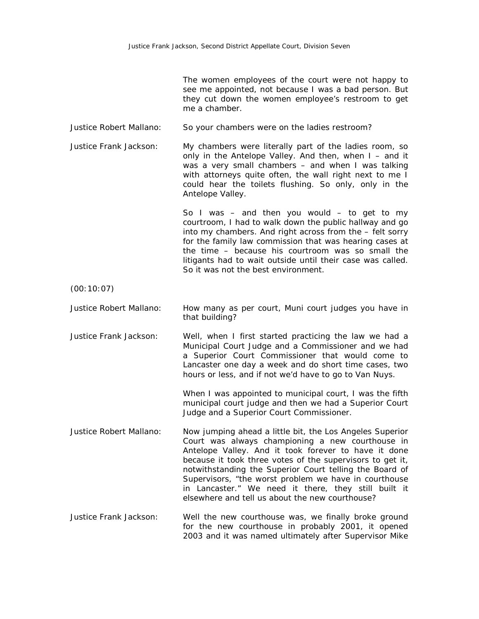The women employees of the court were not happy to see me appointed, not because I was a bad person. But they cut down the women employee's restroom to get me a chamber.

Justice Robert Mallano: So your chambers were on the ladies restroom?

Justice Frank Jackson: My chambers were literally part of the ladies room, so only in the Antelope Valley. And then, when  $I -$  and it was a very small chambers – and when I was talking with attorneys quite often, the wall right next to me I could hear the toilets flushing. So only, only in the Antelope Valley.

> So I was  $-$  and then you would  $-$  to get to my courtroom, I had to walk down the public hallway and go into my chambers. And right across from the – felt sorry for the family law commission that was hearing cases at the time – because his courtroom was so small the litigants had to wait outside until their case was called. So it was not the best environment.

(00:10:07)

- Justice Robert Mallano: How many as per court, Muni court judges you have in that building?
- Justice Frank Jackson: Well, when I first started practicing the law we had a Municipal Court Judge and a Commissioner and we had a Superior Court Commissioner that would come to Lancaster one day a week and do short time cases, two hours or less, and if not we'd have to go to Van Nuys.

When I was appointed to municipal court, I was the fifth municipal court judge and then we had a Superior Court Judge and a Superior Court Commissioner.

- Justice Robert Mallano: Now jumping ahead a little bit, the Los Angeles Superior Court was always championing a new courthouse in Antelope Valley. And it took forever to have it done because it took three votes of the supervisors to get it, notwithstanding the Superior Court telling the Board of Supervisors, "the worst problem we have in courthouse in Lancaster." We need it there, they still built it elsewhere and tell us about the new courthouse?
- Justice Frank Jackson: Well the new courthouse was, we finally broke ground for the new courthouse in probably 2001, it opened 2003 and it was named ultimately after Supervisor Mike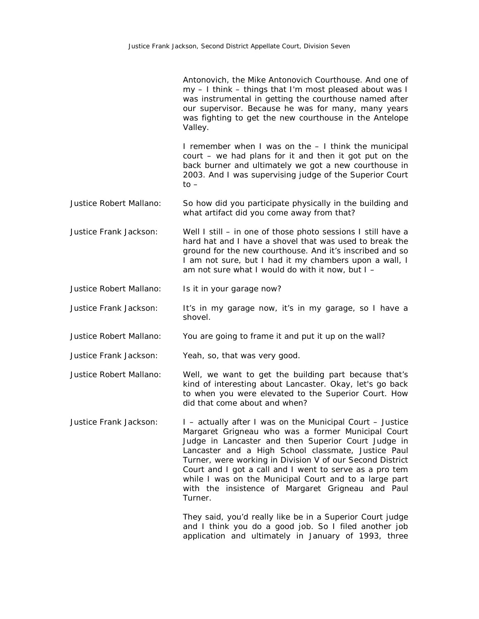|                         | Antonovich, the Mike Antonovich Courthouse. And one of<br>my - I think - things that I'm most pleased about was I<br>was instrumental in getting the courthouse named after<br>our supervisor. Because he was for many, many years<br>was fighting to get the new courthouse in the Antelope<br>Valley.                                                                                                                                                                         |
|-------------------------|---------------------------------------------------------------------------------------------------------------------------------------------------------------------------------------------------------------------------------------------------------------------------------------------------------------------------------------------------------------------------------------------------------------------------------------------------------------------------------|
|                         | I remember when I was on the - I think the municipal<br>court - we had plans for it and then it got put on the<br>back burner and ultimately we got a new courthouse in<br>2003. And I was supervising judge of the Superior Court<br>$to -$                                                                                                                                                                                                                                    |
| Justice Robert Mallano: | So how did you participate physically in the building and<br>what artifact did you come away from that?                                                                                                                                                                                                                                                                                                                                                                         |
| Justice Frank Jackson:  | Well I still - in one of those photo sessions I still have a<br>hard hat and I have a shovel that was used to break the<br>ground for the new courthouse. And it's inscribed and so<br>I am not sure, but I had it my chambers upon a wall, I<br>am not sure what I would do with it now, but $I -$                                                                                                                                                                             |
| Justice Robert Mallano: | Is it in your garage now?                                                                                                                                                                                                                                                                                                                                                                                                                                                       |
| Justice Frank Jackson:  | It's in my garage now, it's in my garage, so I have a<br>shovel.                                                                                                                                                                                                                                                                                                                                                                                                                |
| Justice Robert Mallano: | You are going to frame it and put it up on the wall?                                                                                                                                                                                                                                                                                                                                                                                                                            |
| Justice Frank Jackson:  | Yeah, so, that was very good.                                                                                                                                                                                                                                                                                                                                                                                                                                                   |
| Justice Robert Mallano: | Well, we want to get the building part because that's<br>kind of interesting about Lancaster. Okay, let's go back<br>to when you were elevated to the Superior Court. How<br>did that come about and when?                                                                                                                                                                                                                                                                      |
| Justice Frank Jackson:  | I - actually after I was on the Municipal Court - Justice<br>Margaret Grigneau who was a former Municipal Court<br>Judge in Lancaster and then Superior Court Judge in<br>Lancaster and a High School classmate, Justice Paul<br>Turner, were working in Division V of our Second District<br>Court and I got a call and I went to serve as a pro tem<br>while I was on the Municipal Court and to a large part<br>with the insistence of Margaret Grigneau and Paul<br>Turner. |
|                         | They said, you'd really like be in a Superior Court judge<br>and I think you do a good job. So I filed another job<br>application and ultimately in January of 1993, three                                                                                                                                                                                                                                                                                                      |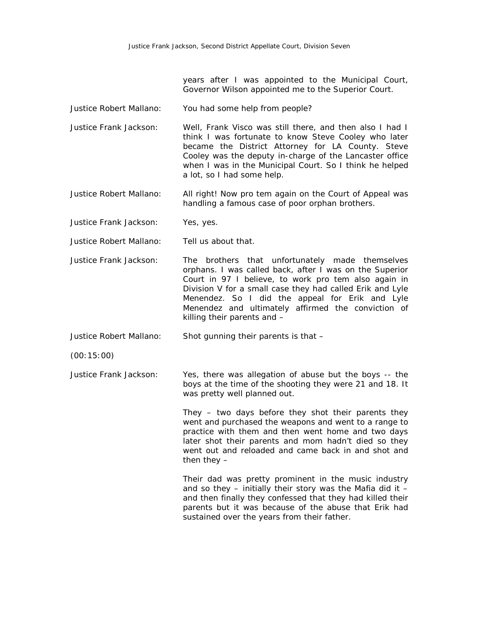years after I was appointed to the Municipal Court, Governor Wilson appointed me to the Superior Court.

- Justice Robert Mallano: You had some help from people?
- Justice Frank Jackson: Well, Frank Visco was still there, and then also I had I think I was fortunate to know Steve Cooley who later became the District Attorney for LA County. Steve Cooley was the deputy in-charge of the Lancaster office when I was in the Municipal Court. So I think he helped a lot, so I had some help.
- Justice Robert Mallano: All right! Now pro tem again on the Court of Appeal was handling a famous case of poor orphan brothers.
- Justice Frank Jackson: Yes, yes.
- Justice Robert Mallano: Tell us about that.
- Justice Frank Jackson: The brothers that unfortunately made themselves orphans. I was called back, after I was on the Superior Court in 97 I believe, to work pro tem also again in Division V for a small case they had called Erik and Lyle Menendez. So I did the appeal for Erik and Lyle Menendez and ultimately affirmed the conviction of killing their parents and –

Justice Robert Mallano: Shot gunning their parents is that –

(00:15:00)

Justice Frank Jackson: Yes, there was allegation of abuse but the boys -- the boys at the time of the shooting they were 21 and 18. It was pretty well planned out.

> They – two days before they shot their parents they went and purchased the weapons and went to a range to practice with them and then went home and two days later shot their parents and mom hadn't died so they went out and reloaded and came back in and shot and then they  $-$

> Their dad was pretty prominent in the music industry and so they  $-$  initially their story was the Mafia did it  $$ and then finally they confessed that they had killed their parents but it was because of the abuse that Erik had sustained over the years from their father.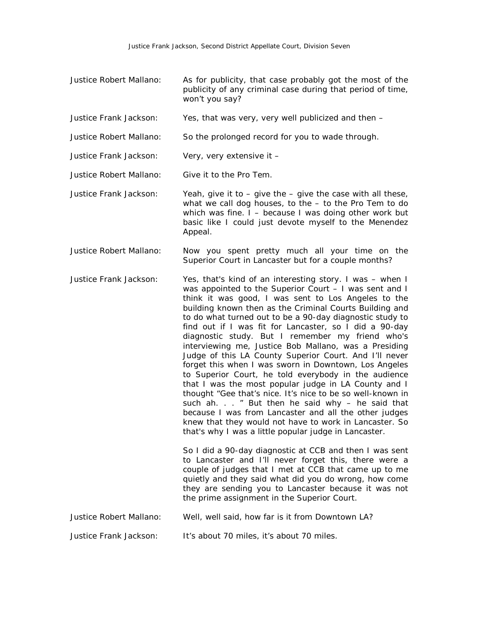- Justice Robert Mallano: As for publicity, that case probably got the most of the publicity of any criminal case during that period of time, won't you say?
- Justice Frank Jackson: Yes, that was very, very well publicized and then –
- Justice Robert Mallano: So the prolonged record for you to wade through.
- Justice Frank Jackson: Very, very extensive it –
- Justice Robert Mallano: Give it to the Pro Tem.
- Justice Frank Jackson: Yeah, give it to give the give the case with all these, what we call dog houses, to the – to the Pro Tem to do which was fine. I – because I was doing other work but basic like I could just devote myself to the Menendez Appeal.
- Justice Robert Mallano: Now you spent pretty much all your time on the Superior Court in Lancaster but for a couple months?
- Justice Frank Jackson: Yes, that's kind of an interesting story. I was when I was appointed to the Superior Court – I was sent and I think it was good, I was sent to Los Angeles to the building known then as the Criminal Courts Building and to do what turned out to be a 90-day diagnostic study to find out if I was fit for Lancaster, so I did a 90-day diagnostic study. But I remember my friend who's interviewing me, Justice Bob Mallano, was a Presiding Judge of this LA County Superior Court. And I'll never forget this when I was sworn in Downtown, Los Angeles to Superior Court, he told everybody in the audience that I was the most popular judge in LA County and I thought "Gee that's nice. It's nice to be so well-known in such ah.  $\ldots$  " But then he said why – he said that because I was from Lancaster and all the other judges knew that they would not have to work in Lancaster. So that's why I was a little popular judge in Lancaster.

So I did a 90-day diagnostic at CCB and then I was sent to Lancaster and I'll never forget this, there were a couple of judges that I met at CCB that came up to me quietly and they said what did you do wrong, how come they are sending you to Lancaster because it was not the prime assignment in the Superior Court.

Justice Robert Mallano: Well, well said, how far is it from Downtown LA?

Justice Frank Jackson: It's about 70 miles, it's about 70 miles.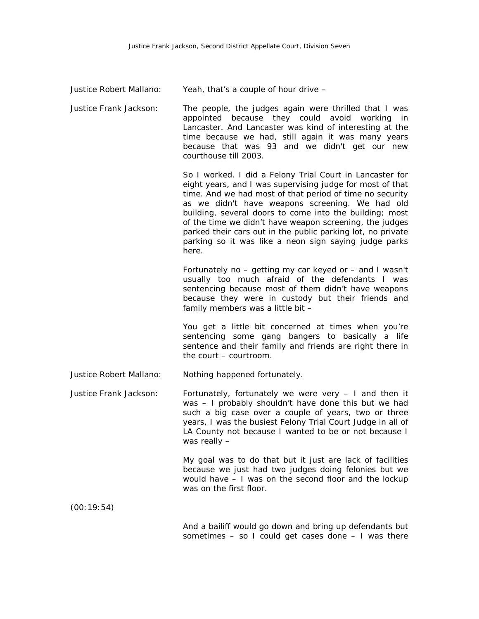| Justice Robert Mallano: |  |  | Yeah, that's a couple of hour drive - |
|-------------------------|--|--|---------------------------------------|
|                         |  |  |                                       |

Justice Frank Jackson: The people, the judges again were thrilled that I was appointed because they could avoid working in Lancaster. And Lancaster was kind of interesting at the time because we had, still again it was many years because that was 93 and we didn't get our new courthouse till 2003.

> So I worked. I did a Felony Trial Court in Lancaster for eight years, and I was supervising judge for most of that time. And we had most of that period of time no security as we didn't have weapons screening. We had old building, several doors to come into the building; most of the time we didn't have weapon screening, the judges parked their cars out in the public parking lot, no private parking so it was like a neon sign saying judge parks here.

> Fortunately no – getting my car keyed or – and I wasn't usually too much afraid of the defendants I was sentencing because most of them didn't have weapons because they were in custody but their friends and family members was a little bit –

> You get a little bit concerned at times when you're sentencing some gang bangers to basically a life sentence and their family and friends are right there in the court – courtroom.

Justice Robert Mallano: Nothing happened fortunately.

Justice Frank Jackson: Fortunately, fortunately we were very – I and then it was – I probably shouldn't have done this but we had such a big case over a couple of years, two or three years, I was the busiest Felony Trial Court Judge in all of LA County not because I wanted to be or not because I was really –

> My goal was to do that but it just are lack of facilities because we just had two judges doing felonies but we would have – I was on the second floor and the lockup was on the first floor.

(00:19:54)

And a bailiff would go down and bring up defendants but sometimes – so I could get cases done – I was there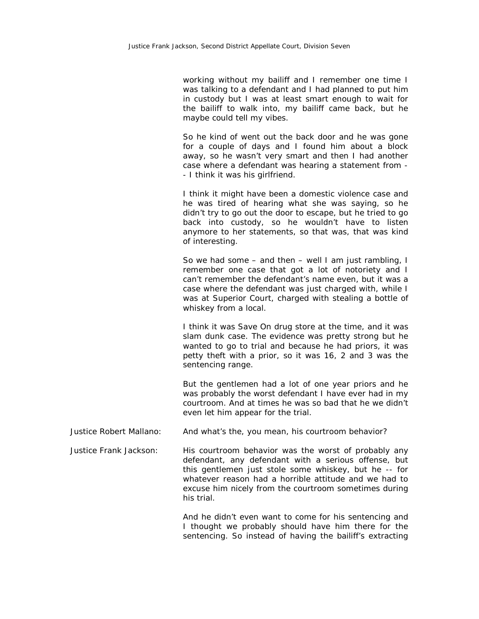working without my bailiff and I remember one time I was talking to a defendant and I had planned to put him in custody but I was at least smart enough to wait for the bailiff to walk into, my bailiff came back, but he maybe could tell my vibes.

So he kind of went out the back door and he was gone for a couple of days and I found him about a block away, so he wasn't very smart and then I had another case where a defendant was hearing a statement from - - I think it was his girlfriend.

I think it might have been a domestic violence case and he was tired of hearing what she was saying, so he didn't try to go out the door to escape, but he tried to go back into custody, so he wouldn't have to listen anymore to her statements, so that was, that was kind of interesting.

So we had some – and then – well I am just rambling, I remember one case that got a lot of notoriety and I can't remember the defendant's name even, but it was a case where the defendant was just charged with, while I was at Superior Court, charged with stealing a bottle of whiskey from a local.

I think it was Save On drug store at the time, and it was slam dunk case. The evidence was pretty strong but he wanted to go to trial and because he had priors, it was petty theft with a prior, so it was 16, 2 and 3 was the sentencing range.

But the gentlemen had a lot of one year priors and he was probably the worst defendant I have ever had in my courtroom. And at times he was so bad that he we didn't even let him appear for the trial.

Justice Robert Mallano: And what's the, you mean, his courtroom behavior?

Justice Frank Jackson: His courtroom behavior was the worst of probably any defendant, any defendant with a serious offense, but this gentlemen just stole some whiskey, but he -- for whatever reason had a horrible attitude and we had to excuse him nicely from the courtroom sometimes during his trial.

> And he didn't even want to come for his sentencing and I thought we probably should have him there for the sentencing. So instead of having the bailiff's extracting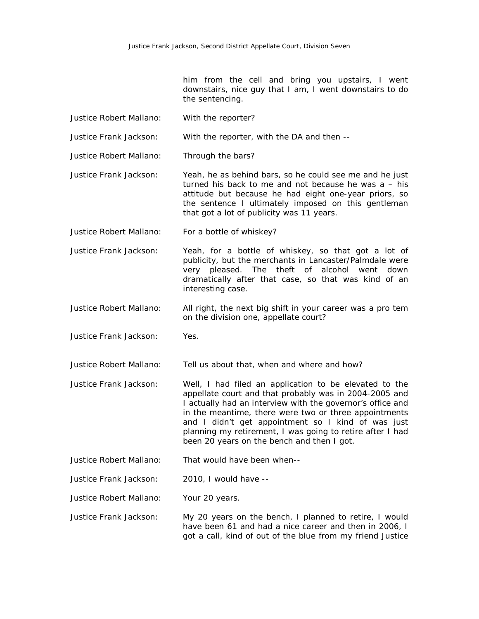him from the cell and bring you upstairs, I went downstairs, nice guy that I am, I went downstairs to do the sentencing.

- Justice Robert Mallano: With the reporter?
- Justice Frank Jackson: With the reporter, with the DA and then --

Justice Robert Mallano: Through the bars?

- Justice Frank Jackson: Yeah, he as behind bars, so he could see me and he just turned his back to me and not because he was a – his attitude but because he had eight one-year priors, so the sentence I ultimately imposed on this gentleman that got a lot of publicity was 11 years.
- Justice Robert Mallano: For a bottle of whiskey?
- Justice Frank Jackson: Yeah, for a bottle of whiskey, so that got a lot of publicity, but the merchants in Lancaster/Palmdale were very pleased. The theft of alcohol went down dramatically after that case, so that was kind of an interesting case.
- Justice Robert Mallano: All right, the next big shift in your career was a pro tem on the division one, appellate court?
- Justice Frank Jackson: Yes.

Justice Robert Mallano: Tell us about that, when and where and how?

- Justice Frank Jackson: Well, I had filed an application to be elevated to the appellate court and that probably was in 2004-2005 and I actually had an interview with the governor's office and in the meantime, there were two or three appointments and I didn't get appointment so I kind of was just planning my retirement, I was going to retire after I had been 20 years on the bench and then I got.
- Justice Robert Mallano: That would have been when--
- Justice Frank Jackson: 2010, I would have --
- Justice Robert Mallano: Your 20 years.
- Justice Frank Jackson: My 20 years on the bench, I planned to retire, I would have been 61 and had a nice career and then in 2006, I got a call, kind of out of the blue from my friend Justice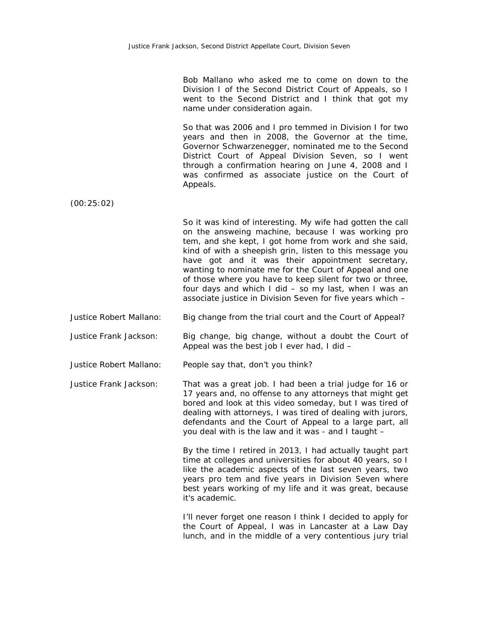Bob Mallano who asked me to come on down to the Division I of the Second District Court of Appeals, so I went to the Second District and I think that got my name under consideration again.

So that was 2006 and I pro temmed in Division I for two years and then in 2008, the Governor at the time, Governor Schwarzenegger, nominated me to the Second District Court of Appeal Division Seven, so I went through a confirmation hearing on June 4, 2008 and I was confirmed as associate justice on the Court of Appeals.

(00:25:02)

So it was kind of interesting. My wife had gotten the call on the answeing machine, because I was working pro tem, and she kept, I got home from work and she said, kind of with a sheepish grin, listen to this message you have got and it was their appointment secretary, wanting to nominate me for the Court of Appeal and one of those where you have to keep silent for two or three, four days and which I did – so my last, when I was an associate justice in Division Seven for five years which –

Justice Robert Mallano: Big change from the trial court and the Court of Appeal?

Justice Frank Jackson: Big change, big change, without a doubt the Court of Appeal was the best job I ever had, I did –

Justice Robert Mallano: People say that, don't you think?

Justice Frank Jackson: That was a great job. I had been a trial judge for 16 or 17 years and, no offense to any attorneys that might get bored and look at this video someday, but I was tired of dealing with attorneys, I was tired of dealing with jurors, defendants and the Court of Appeal to a large part, all you deal with is the law and it was - and I taught –

> By the time I retired in 2013, I had actually taught part time at colleges and universities for about 40 years, so I like the academic aspects of the last seven years, two years pro tem and five years in Division Seven where best years working of my life and it was great, because it's academic.

> I'll never forget one reason I think I decided to apply for the Court of Appeal, I was in Lancaster at a Law Day lunch, and in the middle of a very contentious jury trial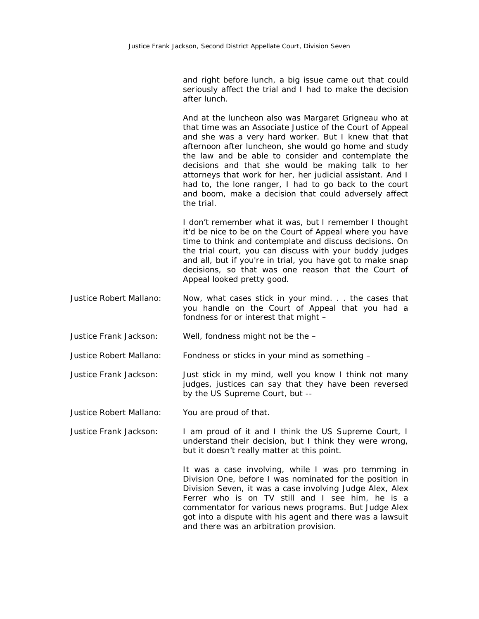and right before lunch, a big issue came out that could seriously affect the trial and I had to make the decision after lunch.

And at the luncheon also was Margaret Grigneau who at that time was an Associate Justice of the Court of Appeal and she was a very hard worker. But I knew that that afternoon after luncheon, she would go home and study the law and be able to consider and contemplate the decisions and that she would be making talk to her attorneys that work for her, her judicial assistant. And I had to, the lone ranger, I had to go back to the court and boom, make a decision that could adversely affect the trial.

I don't remember what it was, but I remember I thought it'd be nice to be on the Court of Appeal where you have time to think and contemplate and discuss decisions. On the trial court, you can discuss with your buddy judges and all, but if you're in trial, you have got to make snap decisions, so that was one reason that the Court of Appeal looked pretty good.

- Justice Robert Mallano: Now, what cases stick in your mind. . . the cases that you handle on the Court of Appeal that you had a fondness for or interest that might –
- Justice Frank Jackson: Well, fondness might not be the –
- Justice Robert Mallano: Fondness or sticks in your mind as something –
- Justice Frank Jackson: Just stick in my mind, well you know I think not many judges, justices can say that they have been reversed by the US Supreme Court, but --
- Justice Robert Mallano: You are proud of that.
- Justice Frank Jackson: I am proud of it and I think the US Supreme Court, I understand their decision, but I think they were wrong, but it doesn't really matter at this point.

It was a case involving, while I was pro temming in Division One, before I was nominated for the position in Division Seven, it was a case involving Judge Alex, Alex Ferrer who is on TV still and I see him, he is a commentator for various news programs. But Judge Alex got into a dispute with his agent and there was a lawsuit and there was an arbitration provision.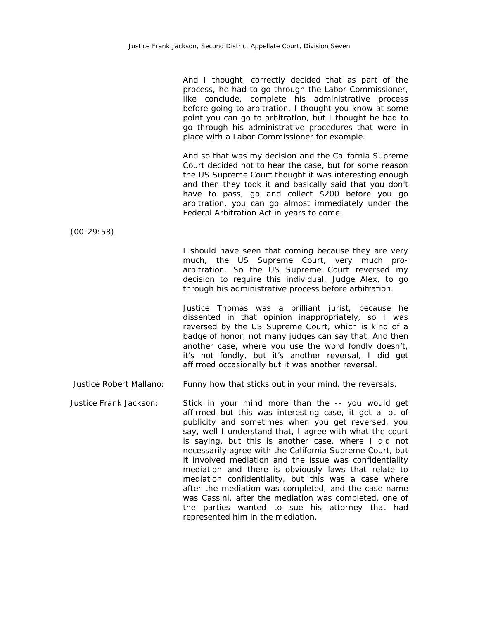|                         | And I thought, correctly decided that as part of the<br>process, he had to go through the Labor Commissioner,<br>like conclude, complete his administrative process<br>before going to arbitration. I thought you know at some<br>point you can go to arbitration, but I thought he had to<br>go through his administrative procedures that were in<br>place with a Labor Commissioner for example.                                                                                                                                                                                                                                                                                                                                     |
|-------------------------|-----------------------------------------------------------------------------------------------------------------------------------------------------------------------------------------------------------------------------------------------------------------------------------------------------------------------------------------------------------------------------------------------------------------------------------------------------------------------------------------------------------------------------------------------------------------------------------------------------------------------------------------------------------------------------------------------------------------------------------------|
|                         | And so that was my decision and the California Supreme<br>Court decided not to hear the case, but for some reason<br>the US Supreme Court thought it was interesting enough<br>and then they took it and basically said that you don't<br>have to pass, go and collect \$200 before you go<br>arbitration, you can go almost immediately under the<br>Federal Arbitration Act in years to come.                                                                                                                                                                                                                                                                                                                                         |
| (00:29:58)              |                                                                                                                                                                                                                                                                                                                                                                                                                                                                                                                                                                                                                                                                                                                                         |
|                         | I should have seen that coming because they are very<br>much, the US Supreme Court, very much pro-<br>arbitration. So the US Supreme Court reversed my<br>decision to require this individual, Judge Alex, to go<br>through his administrative process before arbitration.                                                                                                                                                                                                                                                                                                                                                                                                                                                              |
|                         | Justice Thomas was a brilliant jurist, because he<br>dissented in that opinion inappropriately, so I was<br>reversed by the US Supreme Court, which is kind of a<br>badge of honor, not many judges can say that. And then<br>another case, where you use the word fondly doesn't,<br>it's not fondly, but it's another reversal, I did get<br>affirmed occasionally but it was another reversal.                                                                                                                                                                                                                                                                                                                                       |
| Justice Robert Mallano: | Funny how that sticks out in your mind, the reversals.                                                                                                                                                                                                                                                                                                                                                                                                                                                                                                                                                                                                                                                                                  |
| Justice Frank Jackson:  | Stick in your mind more than the -- you would get<br>affirmed but this was interesting case, it got a lot of<br>publicity and sometimes when you get reversed, you<br>say, well I understand that, I agree with what the court<br>is saying, but this is another case, where I did not<br>necessarily agree with the California Supreme Court, but<br>it involved mediation and the issue was confidentiality<br>mediation and there is obviously laws that relate to<br>mediation confidentiality, but this was a case where<br>after the mediation was completed, and the case name<br>was Cassini, after the mediation was completed, one of<br>the parties wanted to sue his attorney that had<br>represented him in the mediation. |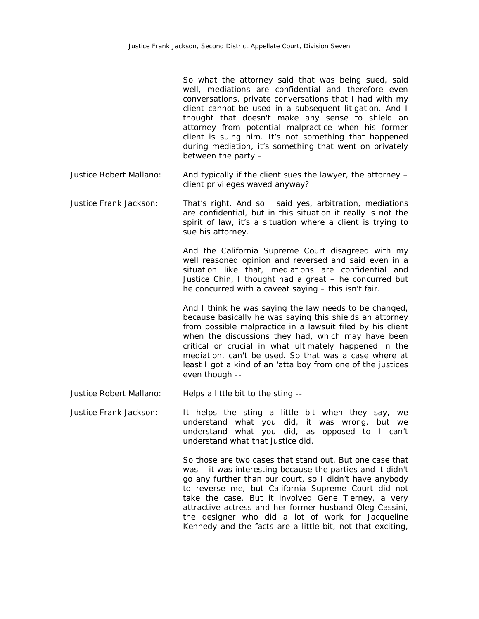So what the attorney said that was being sued, said well, mediations are confidential and therefore even conversations, private conversations that I had with my client cannot be used in a subsequent litigation. And I thought that doesn't make any sense to shield an attorney from potential malpractice when his former client is suing him. It's not something that happened during mediation, it's something that went on privately between the party –

- Justice Robert Mallano: And typically if the client sues the lawyer, the attorney client privileges waved anyway?
- Justice Frank Jackson: That's right. And so I said yes, arbitration, mediations are confidential, but in this situation it really is not the spirit of law, it's a situation where a client is trying to sue his attorney.

And the California Supreme Court disagreed with my well reasoned opinion and reversed and said even in a situation like that, mediations are confidential and Justice Chin, I thought had a great – he concurred but he concurred with a caveat saying – this isn't fair.

And I think he was saying the law needs to be changed, because basically he was saying this shields an attorney from possible malpractice in a lawsuit filed by his client when the discussions they had, which may have been critical or crucial in what ultimately happened in the mediation, can't be used. So that was a case where at least I got a kind of an 'atta boy from one of the justices even though --

Justice Robert Mallano: Helps a little bit to the sting --

Justice Frank Jackson: It helps the sting a little bit when they say, we understand what you did, it was wrong, but we understand what you did, as opposed to I can't understand what that justice did.

> So those are two cases that stand out. But one case that was – it was interesting because the parties and it didn't go any further than our court, so I didn't have anybody to reverse me, but California Supreme Court did not take the case. But it involved Gene Tierney, a very attractive actress and her former husband Oleg Cassini, the designer who did a lot of work for Jacqueline Kennedy and the facts are a little bit, not that exciting,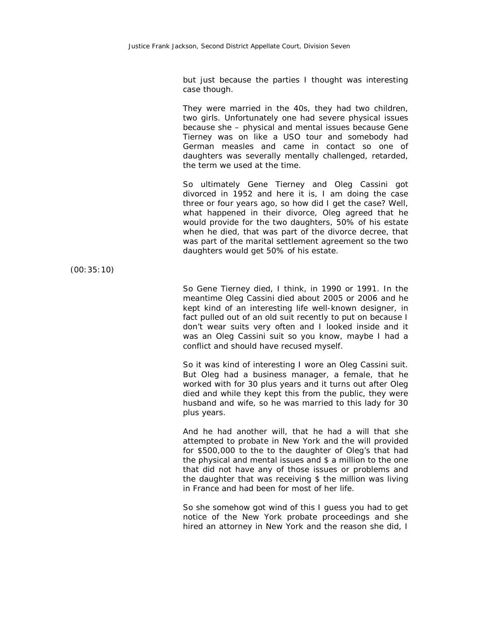but just because the parties I thought was interesting case though.

They were married in the 40s, they had two children, two girls. Unfortunately one had severe physical issues because she – physical and mental issues because Gene Tierney was on like a USO tour and somebody had German measles and came in contact so one of daughters was severally mentally challenged, retarded, the term we used at the time.

So ultimately Gene Tierney and Oleg Cassini got divorced in 1952 and here it is, I am doing the case three or four years ago, so how did I get the case? Well, what happened in their divorce, Oleg agreed that he would provide for the two daughters, 50% of his estate when he died, that was part of the divorce decree, that was part of the marital settlement agreement so the two daughters would get 50% of his estate.

(00:35:10)

So Gene Tierney died, I think, in 1990 or 1991. In the meantime Oleg Cassini died about 2005 or 2006 and he kept kind of an interesting life well-known designer, in fact pulled out of an old suit recently to put on because I don't wear suits very often and I looked inside and it was an Oleg Cassini suit so you know, maybe I had a conflict and should have recused myself.

So it was kind of interesting I wore an Oleg Cassini suit. But Oleg had a business manager, a female, that he worked with for 30 plus years and it turns out after Oleg died and while they kept this from the public, they were husband and wife, so he was married to this lady for 30 plus years.

And he had another will, that he had a will that she attempted to probate in New York and the will provided for \$500,000 to the to the daughter of Oleg's that had the physical and mental issues and \$ a million to the one that did not have any of those issues or problems and the daughter that was receiving \$ the million was living in France and had been for most of her life.

So she somehow got wind of this I guess you had to get notice of the New York probate proceedings and she hired an attorney in New York and the reason she did, I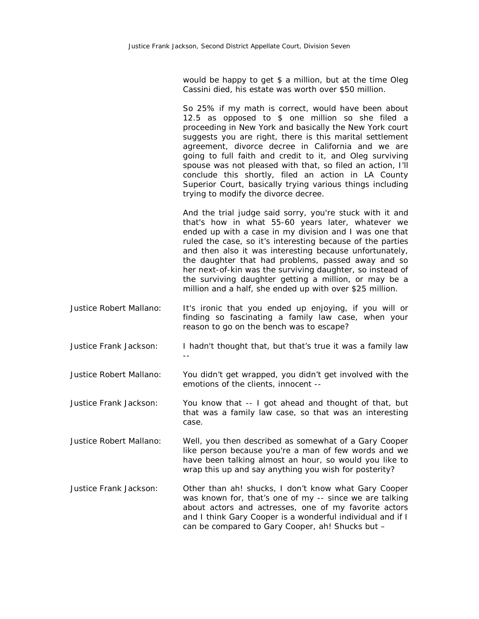would be happy to get \$ a million, but at the time Oleg Cassini died, his estate was worth over \$50 million.

So 25% if my math is correct, would have been about 12.5 as opposed to \$ one million so she filed a proceeding in New York and basically the New York court suggests you are right, there is this marital settlement agreement, divorce decree in California and we are going to full faith and credit to it, and Oleg surviving spouse was not pleased with that, so filed an action, I'll conclude this shortly, filed an action in LA County Superior Court, basically trying various things including trying to modify the divorce decree.

And the trial judge said sorry, you're stuck with it and that's how in what 55-60 years later, whatever we ended up with a case in my division and I was one that ruled the case, so it's interesting because of the parties and then also it was interesting because unfortunately, the daughter that had problems, passed away and so her next-of-kin was the surviving daughter, so instead of the surviving daughter getting a million, or may be a million and a half, she ended up with over \$25 million.

- Justice Robert Mallano: It's ironic that you ended up enjoying, if you will or finding so fascinating a family law case, when your reason to go on the bench was to escape?
- Justice Frank Jackson: I hadn't thought that, but that's true it was a family law --

Justice Robert Mallano: You didn't get wrapped, you didn't get involved with the emotions of the clients, innocent --

Justice Frank Jackson: You know that -- I got ahead and thought of that, but that was a family law case, so that was an interesting case.

Justice Robert Mallano: Well, you then described as somewhat of a Gary Cooper like person because you're a man of few words and we have been talking almost an hour, so would you like to wrap this up and say anything you wish for posterity?

Justice Frank Jackson: Other than ah! shucks, I don't know what Gary Cooper was known for, that's one of my -- since we are talking about actors and actresses, one of my favorite actors and I think Gary Cooper is a wonderful individual and if I can be compared to Gary Cooper, ah! Shucks but –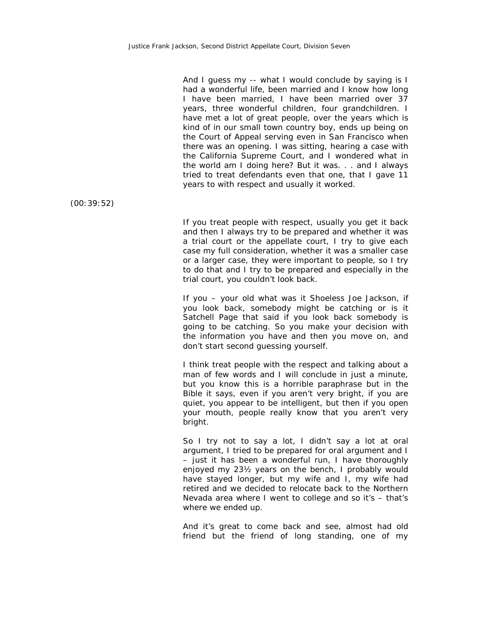And I guess my -- what I would conclude by saying is I had a wonderful life, been married and I know how long I have been married, I have been married over 37 years, three wonderful children, four grandchildren. I have met a lot of great people, over the years which is kind of in our small town country boy, ends up being on the Court of Appeal serving even in San Francisco when there was an opening. I was sitting, hearing a case with the California Supreme Court, and I wondered what in the world am I doing here? But it was. . . and I always tried to treat defendants even that one, that I gave 11 years to with respect and usually it worked.

(00:39:52)

If you treat people with respect, usually you get it back and then I always try to be prepared and whether it was a trial court or the appellate court, I try to give each case my full consideration, whether it was a smaller case or a larger case, they were important to people, so I try to do that and I try to be prepared and especially in the trial court, you couldn't look back.

If you – your old what was it Shoeless Joe Jackson, if you look back, somebody might be catching or is it Satchell Page that said if you look back somebody is going to be catching. So you make your decision with the information you have and then you move on, and don't start second guessing yourself.

I think treat people with the respect and talking about a man of few words and I will conclude in just a minute, but you know this is a horrible paraphrase but in the Bible it says, even if you aren't very bright, if you are quiet, you appear to be intelligent, but then if you open your mouth, people really know that you aren't very bright.

So I try not to say a lot, I didn't say a lot at oral argument, I tried to be prepared for oral argument and I – just it has been a wonderful run, I have thoroughly enjoyed my 23½ years on the bench, I probably would have stayed longer, but my wife and I, my wife had retired and we decided to relocate back to the Northern Nevada area where I went to college and so it's – that's where we ended up.

And it's great to come back and see, almost had old friend but the friend of long standing, one of my